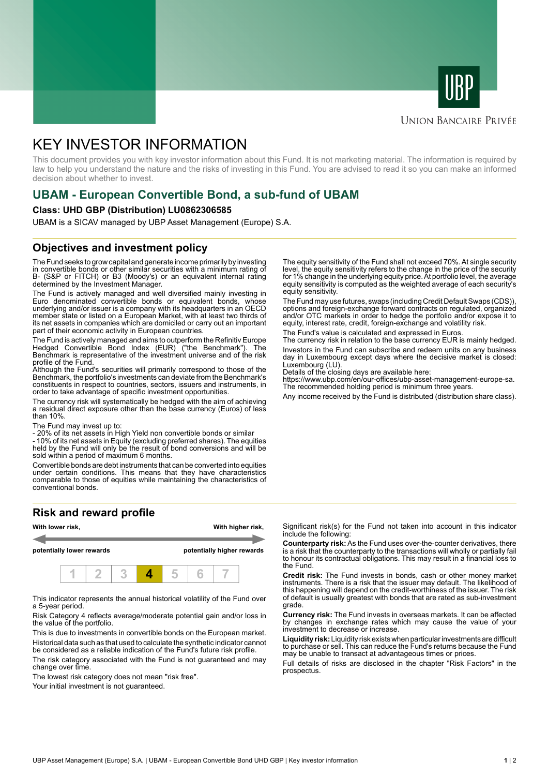



# **UNION BANCAIRE PRIVÉE**

# KEY INVESTOR INFORMATION

This document provides you with key investor information about this Fund. It is not marketing material. The information is required by law to help you understand the nature and the risks of investing in this Fund. You are advised to read it so you can make an informed decision about whether to invest.

# **UBAM - European Convertible Bond, a sub-fund of UBAM**

#### **Class: UHD GBP (Distribution) LU0862306585**

UBAM is a SICAV managed by UBP Asset Management (Europe) S.A.

# **Objectives and investment policy**

The Fund seeks to grow capital and generate income primarily by investing in convertible bonds or other similar securities with a minimum rating of B- (S&P or FITCH) or B3 (Moody's) or an equivalent internal rating determined by the Investment Manager.

The Fund is actively managed and well diversified mainly investing in Euro denominated convertible bonds or equivalent bonds, whose underlying and/or issuer is a company with its headquarters in an OECD member state or listed on a European Market, with at least two thirds of its net assets in companies which are domiciled or carry out an important part of their economic activity in European countries.

The Fund is actively managed and aims to outperform the Refinitiv Europe Hedged Convertible Bond Index (EUR) ("the Benchmark"). The Benchmark is representative of the investment universe and of the risk profile of the Fund.

Although the Fund's securities will primarily correspond to those of the Benchmark, the portfolio's investments can deviate from the Benchmark's constituents in respect to countries, sectors, issuers and instruments, in order to take advantage of specific investment opportunities.

The currency risk will systematically be hedged with the aim of achieving a residual direct exposure other than the base currency (Euros) of less than 10%.

The Fund may invest up to:

- 20% of its net assets in High Yield non convertible bonds or similar

- 10% of its net assets in Equity (excluding preferred shares). The equities held by the Fund will only be the result of bond conversions and will be sold within a period of maximum 6 months.

Convertible bonds are debt instruments that can be converted into equities under certain conditions. This means that they have characteristics comparable to those of equities while maintaining the characteristics of conventional bonds.

# **Risk and reward profile**



This indicator represents the annual historical volatility of the Fund over a 5-year period.

Risk Category 4 reflects average/moderate potential gain and/or loss in the value of the portfolio.

This is due to investments in convertible bonds on the European market. Historical data such as that used to calculate the synthetic indicator cannot be considered as a reliable indication of the Fund's future risk profile.

The risk category associated with the Fund is not guaranteed and may change over time.

The lowest risk category does not mean "risk free".

Your initial investment is not quaranteed.

The equity sensitivity of the Fund shall not exceed 70%. At single security level, the equity sensitivity refers to the change in the price of the security for 1% change in the underlying equity price. At portfolio level, the average equity sensitivity is computed as the weighted average of each security's equity sensitivity.

The Fund may use futures, swaps (including Credit Default Swaps (CDS)), options and foreign-exchange forward contracts on regulated, organized and/or OTC markets in order to hedge the portfolio and/or expose it to equity, interest rate, credit, foreign-exchange and volatility risk.

The Fund's value is calculated and expressed in Euros.

The currency risk in relation to the base currency EUR is mainly hedged. Investors in the Fund can subscribe and redeem units on any business day in Luxembourg except days where the decisive market is closed: Luxembourg (LU).

Details of the closing days are available here:

https://www.ubp.com/en/our-offices/ubp-asset-management-europe-sa. The recommended holding period is minimum three years.

Any income received by the Fund is distributed (distribution share class).

Significant risk(s) for the Fund not taken into account in this indicator include the following:

**Counterparty risk:** As the Fund uses over-the-counter derivatives, there is a risk that the counterparty to the transactions will wholly or partially fail to honour its contractual obligations. This may result in a financial loss to the Fund.

**Credit risk:** The Fund invests in bonds, cash or other money market instruments. There is a risk that the issuer may default. The likelihood of this happening will depend on the credit-worthiness of the issuer. The risk of default is usually greatest with bonds that are rated as sub-investment grade.

**Currency risk:** The Fund invests in overseas markets. It can be affected by changes in exchange rates which may cause the value of your investment to decrease or increase.

**Liquidity risk:** Liquidity risk exists when particular investments are difficult to purchase or sell. This can reduce the Fund's returns because the Fund may be unable to transact at advantageous times or prices.

Full details of risks are disclosed in the chapter "Risk Factors" in the prospectus.